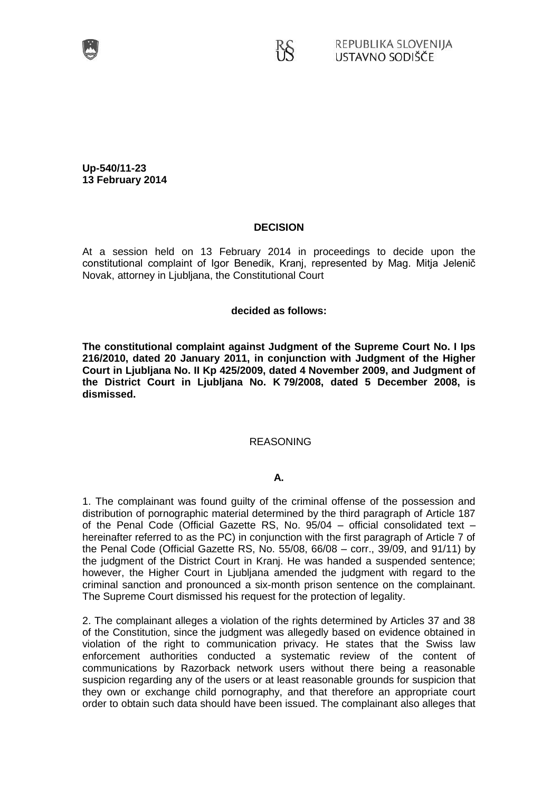

**Up-540/11-23 13 February 2014**

## **DECISION**

At a session held on 13 February 2014 in proceedings to decide upon the constitutional complaint of Igor Benedik, Kranj, represented by Mag. Mitja Jelenič Novak, attorney in Ljubljana, the Constitutional Court

### **decided as follows:**

**The constitutional complaint against Judgment of the Supreme Court No. I Ips 216/2010, dated 20 January 2011, in conjunction with Judgment of the Higher Court in Ljubljana No. II Kp 425/2009, dated 4 November 2009, and Judgment of the District Court in Ljubljana No. K 79/2008, dated 5 December 2008, is dismissed.**

### REASONING

### **A.**

1. The complainant was found guilty of the criminal offense of the possession and distribution of pornographic material determined by the third paragraph of Article 187 of the Penal Code (Official Gazette RS, No. 95/04 – official consolidated text – hereinafter referred to as the PC) in conjunction with the first paragraph of Article 7 of the Penal Code (Official Gazette RS, No. 55/08, 66/08 – corr., 39/09, and 91/11) by the judgment of the District Court in Kranj. He was handed a suspended sentence; however, the Higher Court in Liubliana amended the judgment with regard to the criminal sanction and pronounced a six-month prison sentence on the complainant. The Supreme Court dismissed his request for the protection of legality.

2. The complainant alleges a violation of the rights determined by Articles 37 and 38 of the Constitution, since the judgment was allegedly based on evidence obtained in violation of the right to communication privacy. He states that the Swiss law enforcement authorities conducted a systematic review of the content of communications by Razorback network users without there being a reasonable suspicion regarding any of the users or at least reasonable grounds for suspicion that they own or exchange child pornography, and that therefore an appropriate court order to obtain such data should have been issued. The complainant also alleges that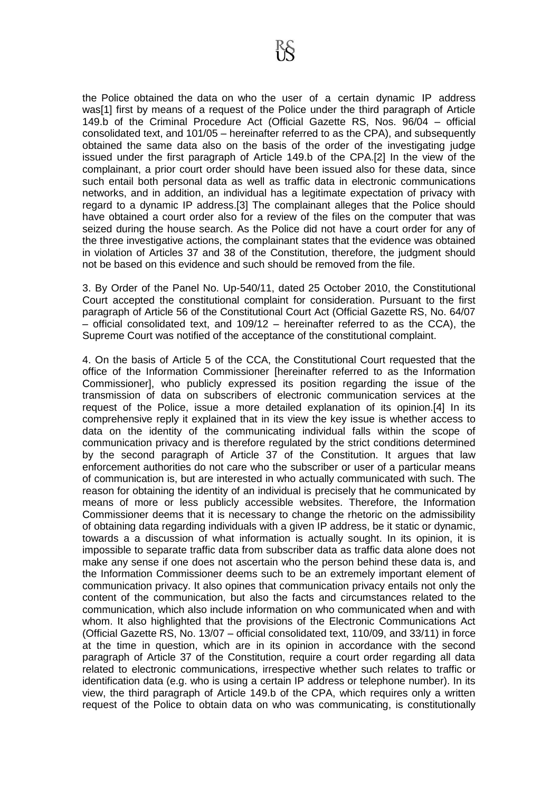the Police obtained the data on who the user of a certain dynamic IP address was[1] first by means of a request of the Police under the third paragraph of Article 149.b of the Criminal Procedure Act (Official Gazette RS, Nos. 96/04 – official consolidated text, and 101/05 – hereinafter referred to as the CPA), and subsequently obtained the same data also on the basis of the order of the investigating judge issued under the first paragraph of Article 149.b of the CPA.[2] In the view of the complainant, a prior court order should have been issued also for these data, since such entail both personal data as well as traffic data in electronic communications networks, and in addition, an individual has a legitimate expectation of privacy with regard to a dynamic IP address.[3] The complainant alleges that the Police should have obtained a court order also for a review of the files on the computer that was seized during the house search. As the Police did not have a court order for any of the three investigative actions, the complainant states that the evidence was obtained in violation of Articles 37 and 38 of the Constitution, therefore, the judgment should not be based on this evidence and such should be removed from the file.

3. By Order of the Panel No. Up-540/11, dated 25 October 2010, the Constitutional Court accepted the constitutional complaint for consideration. Pursuant to the first paragraph of Article 56 of the Constitutional Court Act (Official Gazette RS, No. 64/07 – official consolidated text, and 109/12 – hereinafter referred to as the CCA), the Supreme Court was notified of the acceptance of the constitutional complaint.

4. On the basis of Article 5 of the CCA, the Constitutional Court requested that the office of the Information Commissioner [hereinafter referred to as the Information Commissioner], who publicly expressed its position regarding the issue of the transmission of data on subscribers of electronic communication services at the request of the Police, issue a more detailed explanation of its opinion.[4] In its comprehensive reply it explained that in its view the key issue is whether access to data on the identity of the communicating individual falls within the scope of communication privacy and is therefore regulated by the strict conditions determined by the second paragraph of Article 37 of the Constitution. It argues that law enforcement authorities do not care who the subscriber or user of a particular means of communication is, but are interested in who actually communicated with such. The reason for obtaining the identity of an individual is precisely that he communicated by means of more or less publicly accessible websites. Therefore, the Information Commissioner deems that it is necessary to change the rhetoric on the admissibility of obtaining data regarding individuals with a given IP address, be it static or dynamic, towards a a discussion of what information is actually sought. In its opinion, it is impossible to separate traffic data from subscriber data as traffic data alone does not make any sense if one does not ascertain who the person behind these data is, and the Information Commissioner deems such to be an extremely important element of communication privacy. It also opines that communication privacy entails not only the content of the communication, but also the facts and circumstances related to the communication, which also include information on who communicated when and with whom. It also highlighted that the provisions of the Electronic Communications Act (Official Gazette RS, No. 13/07 – official consolidated text, 110/09, and 33/11) in force at the time in question, which are in its opinion in accordance with the second paragraph of Article 37 of the Constitution, require a court order regarding all data related to electronic communications, irrespective whether such relates to traffic or identification data (e.g. who is using a certain IP address or telephone number). In its view, the third paragraph of Article 149.b of the CPA, which requires only a written request of the Police to obtain data on who was communicating, is constitutionally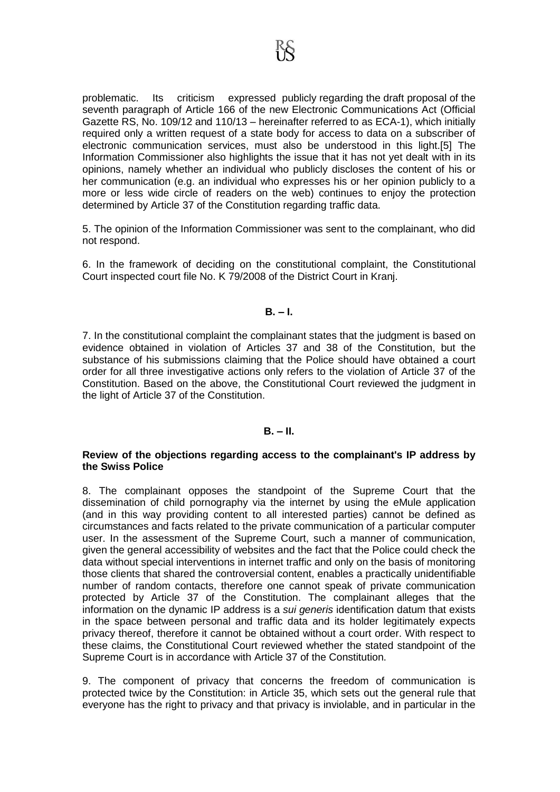problematic. Its criticism expressed publicly regarding the draft proposal of the seventh paragraph of Article 166 of the new Electronic Communications Act (Official Gazette RS, No. 109/12 and 110/13 – hereinafter referred to as ECA-1), which initially required only a written request of a state body for access to data on a subscriber of electronic communication services, must also be understood in this light.[5] The Information Commissioner also highlights the issue that it has not yet dealt with in its opinions, namely whether an individual who publicly discloses the content of his or her communication (e.g. an individual who expresses his or her opinion publicly to a more or less wide circle of readers on the web) continues to enjoy the protection determined by Article 37 of the Constitution regarding traffic data.

5. The opinion of the Information Commissioner was sent to the complainant, who did not respond.

6. In the framework of deciding on the constitutional complaint, the Constitutional Court inspected court file No. K 79/2008 of the District Court in Kranj.

## **B. – I.**

7. In the constitutional complaint the complainant states that the judgment is based on evidence obtained in violation of Articles 37 and 38 of the Constitution, but the substance of his submissions claiming that the Police should have obtained a court order for all three investigative actions only refers to the violation of Article 37 of the Constitution. Based on the above, the Constitutional Court reviewed the judgment in the light of Article 37 of the Constitution.

# **B. – II.**

### **Review of the objections regarding access to the complainant's IP address by the Swiss Police**

8. The complainant opposes the standpoint of the Supreme Court that the dissemination of child pornography via the internet by using the eMule application (and in this way providing content to all interested parties) cannot be defined as circumstances and facts related to the private communication of a particular computer user. In the assessment of the Supreme Court, such a manner of communication, given the general accessibility of websites and the fact that the Police could check the data without special interventions in internet traffic and only on the basis of monitoring those clients that shared the controversial content, enables a practically unidentifiable number of random contacts, therefore one cannot speak of private communication protected by Article 37 of the Constitution. The complainant alleges that the information on the dynamic IP address is a *sui generis* identification datum that exists in the space between personal and traffic data and its holder legitimately expects privacy thereof, therefore it cannot be obtained without a court order. With respect to these claims, the Constitutional Court reviewed whether the stated standpoint of the Supreme Court is in accordance with Article 37 of the Constitution.

9. The component of privacy that concerns the freedom of communication is protected twice by the Constitution: in Article 35, which sets out the general rule that everyone has the right to privacy and that privacy is inviolable, and in particular in the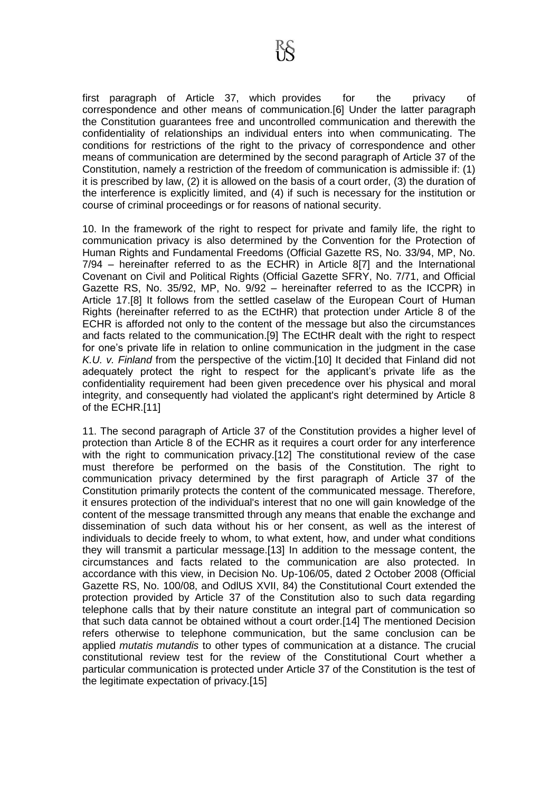first paragraph of Article 37, which provides for the privacy of correspondence and other means of communication.[6] Under the latter paragraph the Constitution guarantees free and uncontrolled communication and therewith the confidentiality of relationships an individual enters into when communicating. The conditions for restrictions of the right to the privacy of correspondence and other means of communication are determined by the second paragraph of Article 37 of the Constitution, namely a restriction of the freedom of communication is admissible if: (1) it is prescribed by law, (2) it is allowed on the basis of a court order, (3) the duration of the interference is explicitly limited, and (4) if such is necessary for the institution or course of criminal proceedings or for reasons of national security.

10. In the framework of the right to respect for private and family life, the right to communication privacy is also determined by the Convention for the Protection of Human Rights and Fundamental Freedoms (Official Gazette RS, No. 33/94, MP, No. 7/94 – hereinafter referred to as the ECHR) in Article 8[7] and the International Covenant on Civil and Political Rights (Official Gazette SFRY, No. 7/71, and Official Gazette RS, No. 35/92, MP, No. 9/92 – hereinafter referred to as the ICCPR) in Article 17.[8] It follows from the settled caselaw of the European Court of Human Rights (hereinafter referred to as the ECtHR) that protection under Article 8 of the ECHR is afforded not only to the content of the message but also the circumstances and facts related to the communication.[9] The ECtHR dealt with the right to respect for one's private life in relation to online communication in the judgment in the case *K.U. v. Finland* from the perspective of the victim.[10] It decided that Finland did not adequately protect the right to respect for the applicant's private life as the confidentiality requirement had been given precedence over his physical and moral integrity, and consequently had violated the applicant's right determined by Article 8 of the ECHR.[11]

11. The second paragraph of Article 37 of the Constitution provides a higher level of protection than Article 8 of the ECHR as it requires a court order for any interference with the right to communication privacy.[12] The constitutional review of the case must therefore be performed on the basis of the Constitution. The right to communication privacy determined by the first paragraph of Article 37 of the Constitution primarily protects the content of the communicated message. Therefore, it ensures protection of the individual's interest that no one will gain knowledge of the content of the message transmitted through any means that enable the exchange and dissemination of such data without his or her consent, as well as the interest of individuals to decide freely to whom, to what extent, how, and under what conditions they will transmit a particular message.[13] In addition to the message content, the circumstances and facts related to the communication are also protected. In accordance with this view, in Decision No. Up-106/05, dated 2 October 2008 (Official Gazette RS, No. 100/08, and OdlUS XVII, 84) the Constitutional Court extended the protection provided by Article 37 of the Constitution also to such data regarding telephone calls that by their nature constitute an integral part of communication so that such data cannot be obtained without a court order.[14] The mentioned Decision refers otherwise to telephone communication, but the same conclusion can be applied *mutatis mutandis* to other types of communication at a distance. The crucial constitutional review test for the review of the Constitutional Court whether a particular communication is protected under Article 37 of the Constitution is the test of the legitimate expectation of privacy.[15]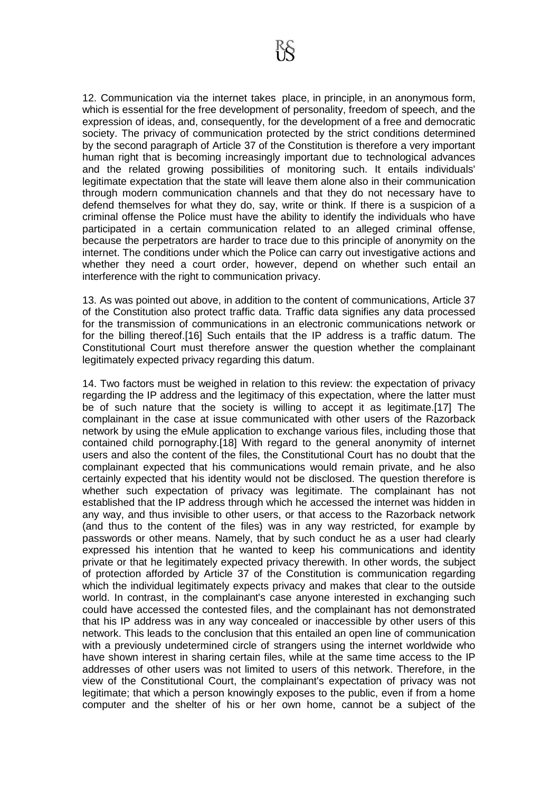12. Communication via the internet takes place, in principle, in an anonymous form, which is essential for the free development of personality, freedom of speech, and the expression of ideas, and, consequently, for the development of a free and democratic society. The privacy of communication protected by the strict conditions determined by the second paragraph of Article 37 of the Constitution is therefore a very important human right that is becoming increasingly important due to technological advances and the related growing possibilities of monitoring such. It entails individuals' legitimate expectation that the state will leave them alone also in their communication through modern communication channels and that they do not necessary have to defend themselves for what they do, say, write or think. If there is a suspicion of a criminal offense the Police must have the ability to identify the individuals who have participated in a certain communication related to an alleged criminal offense, because the perpetrators are harder to trace due to this principle of anonymity on the internet. The conditions under which the Police can carry out investigative actions and whether they need a court order, however, depend on whether such entail an interference with the right to communication privacy.

13. As was pointed out above, in addition to the content of communications, Article 37 of the Constitution also protect traffic data. Traffic data signifies any data processed for the transmission of communications in an electronic communications network or for the billing thereof.[16] Such entails that the IP address is a traffic datum. The Constitutional Court must therefore answer the question whether the complainant legitimately expected privacy regarding this datum.

14. Two factors must be weighed in relation to this review: the expectation of privacy regarding the IP address and the legitimacy of this expectation, where the latter must be of such nature that the society is willing to accept it as legitimate.[17] The complainant in the case at issue communicated with other users of the Razorback network by using the eMule application to exchange various files, including those that contained child pornography.[18] With regard to the general anonymity of internet users and also the content of the files, the Constitutional Court has no doubt that the complainant expected that his communications would remain private, and he also certainly expected that his identity would not be disclosed. The question therefore is whether such expectation of privacy was legitimate. The complainant has not established that the IP address through which he accessed the internet was hidden in any way, and thus invisible to other users, or that access to the Razorback network (and thus to the content of the files) was in any way restricted, for example by passwords or other means. Namely, that by such conduct he as a user had clearly expressed his intention that he wanted to keep his communications and identity private or that he legitimately expected privacy therewith. In other words, the subject of protection afforded by Article 37 of the Constitution is communication regarding which the individual legitimately expects privacy and makes that clear to the outside world. In contrast, in the complainant's case anyone interested in exchanging such could have accessed the contested files, and the complainant has not demonstrated that his IP address was in any way concealed or inaccessible by other users of this network. This leads to the conclusion that this entailed an open line of communication with a previously undetermined circle of strangers using the internet worldwide who have shown interest in sharing certain files, while at the same time access to the IP addresses of other users was not limited to users of this network. Therefore, in the view of the Constitutional Court, the complainant's expectation of privacy was not legitimate; that which a person knowingly exposes to the public, even if from a home computer and the shelter of his or her own home, cannot be a subject of the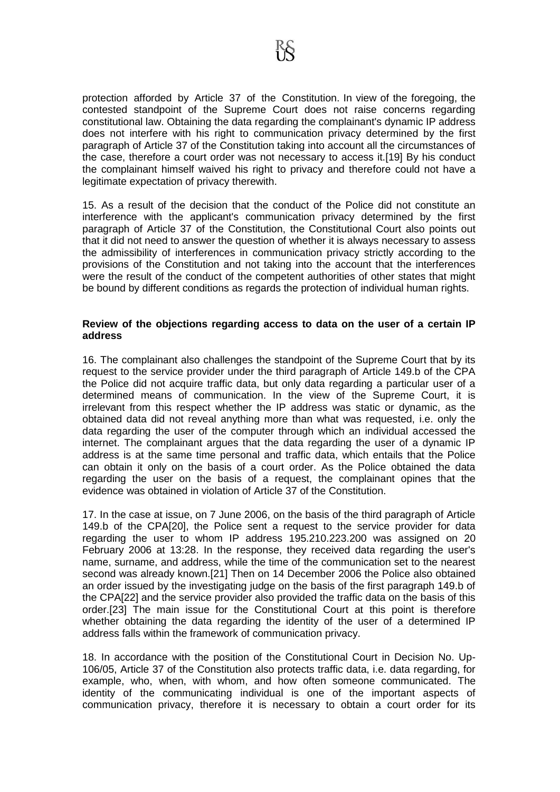protection afforded by Article 37 of the Constitution. In view of the foregoing, the contested standpoint of the Supreme Court does not raise concerns regarding constitutional law. Obtaining the data regarding the complainant's dynamic IP address does not interfere with his right to communication privacy determined by the first paragraph of Article 37 of the Constitution taking into account all the circumstances of the case, therefore a court order was not necessary to access it.[19] By his conduct the complainant himself waived his right to privacy and therefore could not have a legitimate expectation of privacy therewith.

15. As a result of the decision that the conduct of the Police did not constitute an interference with the applicant's communication privacy determined by the first paragraph of Article 37 of the Constitution, the Constitutional Court also points out that it did not need to answer the question of whether it is always necessary to assess the admissibility of interferences in communication privacy strictly according to the provisions of the Constitution and not taking into the account that the interferences were the result of the conduct of the competent authorities of other states that might be bound by different conditions as regards the protection of individual human rights.

### **Review of the objections regarding access to data on the user of a certain IP address**

16. The complainant also challenges the standpoint of the Supreme Court that by its request to the service provider under the third paragraph of Article 149.b of the CPA the Police did not acquire traffic data, but only data regarding a particular user of a determined means of communication. In the view of the Supreme Court, it is irrelevant from this respect whether the IP address was static or dynamic, as the obtained data did not reveal anything more than what was requested, i.e. only the data regarding the user of the computer through which an individual accessed the internet. The complainant argues that the data regarding the user of a dynamic IP address is at the same time personal and traffic data, which entails that the Police can obtain it only on the basis of a court order. As the Police obtained the data regarding the user on the basis of a request, the complainant opines that the evidence was obtained in violation of Article 37 of the Constitution.

17. In the case at issue, on 7 June 2006, on the basis of the third paragraph of Article 149.b of the CPA[20], the Police sent a request to the service provider for data regarding the user to whom IP address 195.210.223.200 was assigned on 20 February 2006 at 13:28. In the response, they received data regarding the user's name, surname, and address, while the time of the communication set to the nearest second was already known.[21] Then on 14 December 2006 the Police also obtained an order issued by the investigating judge on the basis of the first paragraph 149.b of the CPA[22] and the service provider also provided the traffic data on the basis of this order.[23] The main issue for the Constitutional Court at this point is therefore whether obtaining the data regarding the identity of the user of a determined IP address falls within the framework of communication privacy.

18. In accordance with the position of the Constitutional Court in Decision No. Up-106/05, Article 37 of the Constitution also protects traffic data, i.e. data regarding, for example, who, when, with whom, and how often someone communicated. The identity of the communicating individual is one of the important aspects of communication privacy, therefore it is necessary to obtain a court order for its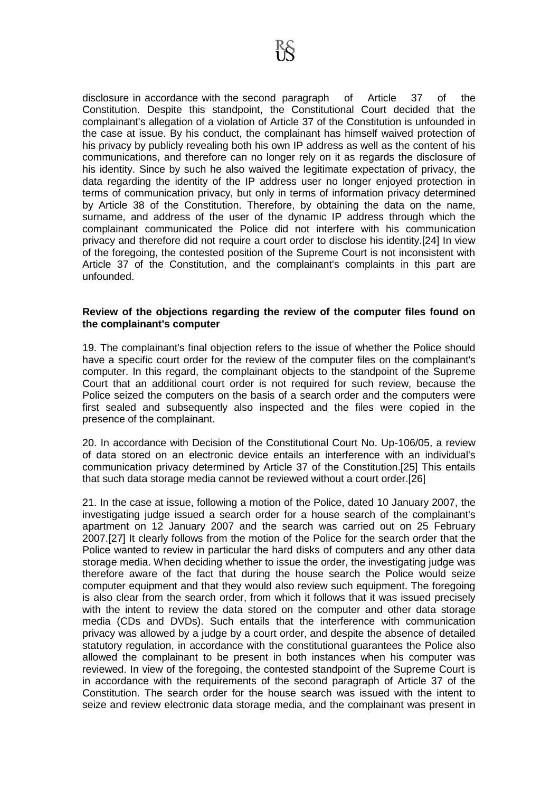disclosure in accordance with the second paragraph of Article 37 of the Constitution. Despite this standpoint, the Constitutional Court decided that the complainant's allegation of a violation of Article 37 of the Constitution is unfounded in the case at issue. By his conduct, the complainant has himself waived protection of his privacy by publicly revealing both his own IP address as well as the content of his communications, and therefore can no longer rely on it as regards the disclosure of his identity. Since by such he also waived the legitimate expectation of privacy, the data regarding the identity of the IP address user no longer enjoyed protection in terms of communication privacy, but only in terms of information privacy determined by Article 38 of the Constitution. Therefore, by obtaining the data on the name, surname, and address of the user of the dynamic IP address through which the complainant communicated the Police did not interfere with his communication privacy and therefore did not require a court order to disclose his identity.[24] In view of the foregoing, the contested position of the Supreme Court is not inconsistent with Article 37 of the Constitution, and the complainant's complaints in this part are unfounded.

### **Review of the objections regarding the review of the computer files found on the complainant's computer**

19. The complainant's final objection refers to the issue of whether the Police should have a specific court order for the review of the computer files on the complainant's computer. In this regard, the complainant objects to the standpoint of the Supreme Court that an additional court order is not required for such review, because the Police seized the computers on the basis of a search order and the computers were first sealed and subsequently also inspected and the files were copied in the presence of the complainant.

20. In accordance with Decision of the Constitutional Court No. Up-106/05, a review of data stored on an electronic device entails an interference with an individual's communication privacy determined by Article 37 of the Constitution.[25] This entails that such data storage media cannot be reviewed without a court order.[26]

21. In the case at issue, following a motion of the Police, dated 10 January 2007, the investigating judge issued a search order for a house search of the complainant's apartment on 12 January 2007 and the search was carried out on 25 February 2007.[27] It clearly follows from the motion of the Police for the search order that the Police wanted to review in particular the hard disks of computers and any other data storage media. When deciding whether to issue the order, the investigating judge was therefore aware of the fact that during the house search the Police would seize computer equipment and that they would also review such equipment. The foregoing is also clear from the search order, from which it follows that it was issued precisely with the intent to review the data stored on the computer and other data storage media (CDs and DVDs). Such entails that the interference with communication privacy was allowed by a judge by a court order, and despite the absence of detailed statutory regulation, in accordance with the constitutional guarantees the Police also allowed the complainant to be present in both instances when his computer was reviewed. In view of the foregoing, the contested standpoint of the Supreme Court is in accordance with the requirements of the second paragraph of Article 37 of the Constitution. The search order for the house search was issued with the intent to seize and review electronic data storage media, and the complainant was present in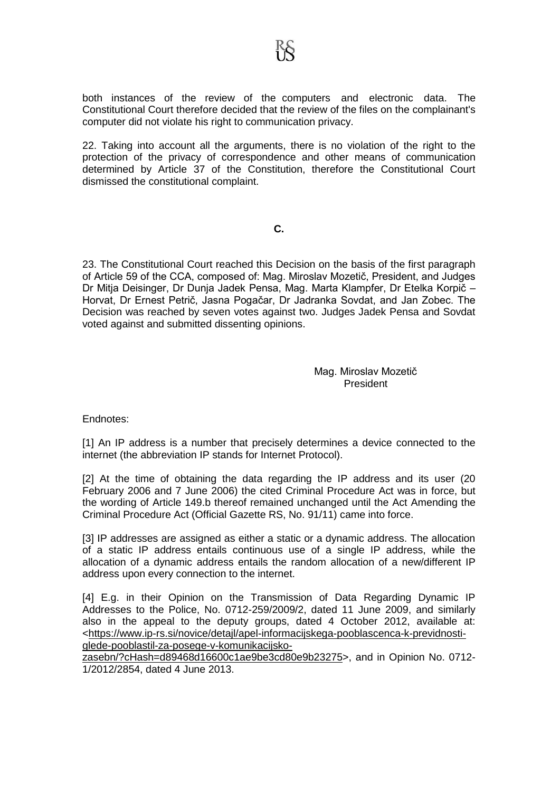both instances of the review of the computers and electronic data. The Constitutional Court therefore decided that the review of the files on the complainant's computer did not violate his right to communication privacy.

22. Taking into account all the arguments, there is no violation of the right to the protection of the privacy of correspondence and other means of communication determined by Article 37 of the Constitution, therefore the Constitutional Court dismissed the constitutional complaint.

# **C.**

23. The Constitutional Court reached this Decision on the basis of the first paragraph of Article 59 of the CCA, composed of: Mag. Miroslav Mozetič, President, and Judges Dr Mitja Deisinger, Dr Dunja Jadek Pensa, Mag. Marta Klampfer, Dr Etelka Korpič – Horvat, Dr Ernest Petrič, Jasna Pogačar, Dr Jadranka Sovdat, and Jan Zobec. The Decision was reached by seven votes against two. Judges Jadek Pensa and Sovdat voted against and submitted dissenting opinions.

> Mag. Miroslav Mozetič President

Endnotes:

[1] An IP address is a number that precisely determines a device connected to the internet (the abbreviation IP stands for Internet Protocol).

[2] At the time of obtaining the data regarding the IP address and its user (20 February 2006 and 7 June 2006) the cited Criminal Procedure Act was in force, but the wording of Article 149.b thereof remained unchanged until the Act Amending the Criminal Procedure Act (Official Gazette RS, No. 91/11) came into force.

[3] IP addresses are assigned as either a static or a dynamic address. The allocation of a static IP address entails continuous use of a single IP address, while the allocation of a dynamic address entails the random allocation of a new/different IP address upon every connection to the internet.

[4] E.g. in their Opinion on the Transmission of Data Regarding Dynamic IP Addresses to the Police, No. 0712-259/2009/2, dated 11 June 2009, and similarly also in the appeal to the deputy groups, dated 4 October 2012, available at: <https://www.ip-rs.si/novice/detajl/apel-informacijskega-pooblascenca-k-previdnostiglede-pooblastil-za-posege-v-komunikacijsko-

zasebn/?cHash=d89468d16600c1ae9be3cd80e9b23275>, and in Opinion No. 0712- 1/2012/2854, dated 4 June 2013.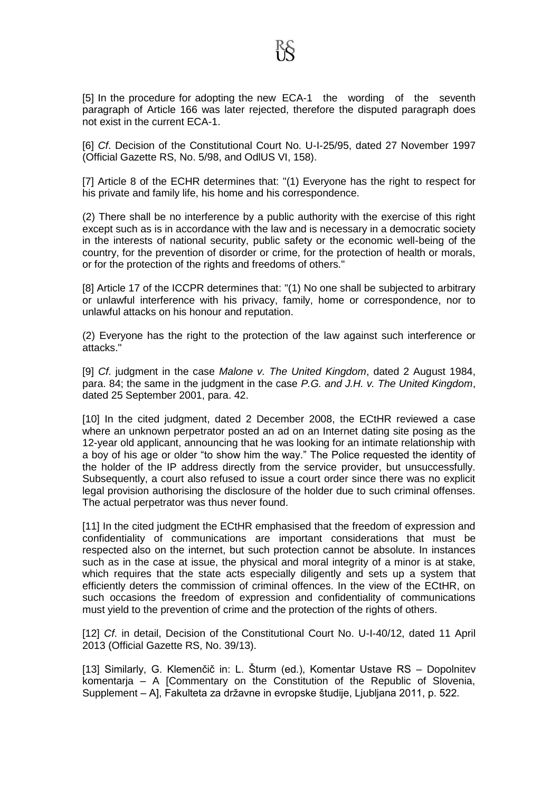[5] In the procedure for adopting the new ECA-1 the wording of the seventh paragraph of Article 166 was later rejected, therefore the disputed paragraph does not exist in the current ECA-1.

[6] *Cf*. Decision of the Constitutional Court No. U-I-25/95, dated 27 November 1997 (Official Gazette RS, No. 5/98, and OdlUS VI, 158).

[7] Article 8 of the ECHR determines that: "(1) Everyone has the right to respect for his private and family life, his home and his correspondence.

(2) There shall be no interference by a public authority with the exercise of this right except such as is in accordance with the law and is necessary in a democratic society in the interests of national security, public safety or the economic well-being of the country, for the prevention of disorder or crime, for the protection of health or morals, or for the protection of the rights and freedoms of others."

[8] Article 17 of the ICCPR determines that: "(1) No one shall be subjected to arbitrary or unlawful interference with his privacy, family, home or correspondence, nor to unlawful attacks on his honour and reputation.

(2) Everyone has the right to the protection of the law against such interference or attacks."

[9] *Cf*. judgment in the case *Malone v. The United Kingdom*, dated 2 August 1984, para. 84; the same in the judgment in the case *P.G. and J.H. v. The United Kingdom*, dated 25 September 2001, para. 42.

[10] In the cited judgment, dated 2 December 2008, the ECtHR reviewed a case where an unknown perpetrator posted an ad on an Internet dating site posing as the 12-year old applicant, announcing that he was looking for an intimate relationship with a boy of his age or older "to show him the way." The Police requested the identity of the holder of the IP address directly from the service provider, but unsuccessfully. Subsequently, a court also refused to issue a court order since there was no explicit legal provision authorising the disclosure of the holder due to such criminal offenses. The actual perpetrator was thus never found.

[11] In the cited judgment the ECtHR emphasised that the freedom of expression and confidentiality of communications are important considerations that must be respected also on the internet, but such protection cannot be absolute. In instances such as in the case at issue, the physical and moral integrity of a minor is at stake, which requires that the state acts especially diligently and sets up a system that efficiently deters the commission of criminal offences. In the view of the ECtHR, on such occasions the freedom of expression and confidentiality of communications must yield to the prevention of crime and the protection of the rights of others.

[12] *Cf*. in detail, Decision of the Constitutional Court No. U-I-40/12, dated 11 April 2013 (Official Gazette RS, No. 39/13).

[13] Similarly, G. Klemenčič in: L. Šturm (ed.), Komentar Ustave RS – Dopolnitev komentarja – A [Commentary on the Constitution of the Republic of Slovenia, Supplement – A], Fakulteta za državne in evropske študije, Ljubljana 2011, p. 522.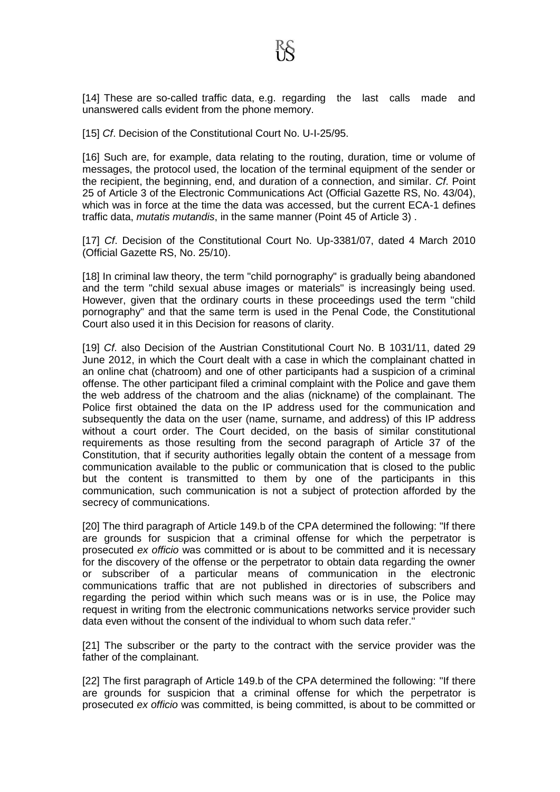[14] These are so-called traffic data, e.g. regarding the last calls made and unanswered calls evident from the phone memory.

[15] *Cf*. Decision of the Constitutional Court No. U-I-25/95.

[16] Such are, for example, data relating to the routing, duration, time or volume of messages, the protocol used, the location of the terminal equipment of the sender or the recipient, the beginning, end, and duration of a connection, and similar. *Cf*. Point 25 of Article 3 of the Electronic Communications Act (Official Gazette RS, No. 43/04), which was in force at the time the data was accessed, but the current ECA-1 defines traffic data, *mutatis mutandis*, in the same manner (Point 45 of Article 3) .

[17] *Cf*. Decision of the Constitutional Court No. Up-3381/07, dated 4 March 2010 (Official Gazette RS, No. 25/10).

[18] In criminal law theory, the term "child pornography" is gradually being abandoned and the term "child sexual abuse images or materials" is increasingly being used. However, given that the ordinary courts in these proceedings used the term "child pornography" and that the same term is used in the Penal Code, the Constitutional Court also used it in this Decision for reasons of clarity.

[19] *Cf*. also Decision of the Austrian Constitutional Court No. B 1031/11, dated 29 June 2012, in which the Court dealt with a case in which the complainant chatted in an online chat (chatroom) and one of other participants had a suspicion of a criminal offense. The other participant filed a criminal complaint with the Police and gave them the web address of the chatroom and the alias (nickname) of the complainant. The Police first obtained the data on the IP address used for the communication and subsequently the data on the user (name, surname, and address) of this IP address without a court order. The Court decided, on the basis of similar constitutional requirements as those resulting from the second paragraph of Article 37 of the Constitution, that if security authorities legally obtain the content of a message from communication available to the public or communication that is closed to the public but the content is transmitted to them by one of the participants in this communication, such communication is not a subject of protection afforded by the secrecy of communications.

[20] The third paragraph of Article 149.b of the CPA determined the following: "If there are grounds for suspicion that a criminal offense for which the perpetrator is prosecuted *ex officio* was committed or is about to be committed and it is necessary for the discovery of the offense or the perpetrator to obtain data regarding the owner or subscriber of a particular means of communication in the electronic communications traffic that are not published in directories of subscribers and regarding the period within which such means was or is in use, the Police may request in writing from the electronic communications networks service provider such data even without the consent of the individual to whom such data refer."

[21] The subscriber or the party to the contract with the service provider was the father of the complainant.

[22] The first paragraph of Article 149.b of the CPA determined the following: "If there are grounds for suspicion that a criminal offense for which the perpetrator is prosecuted *ex officio* was committed, is being committed, is about to be committed or